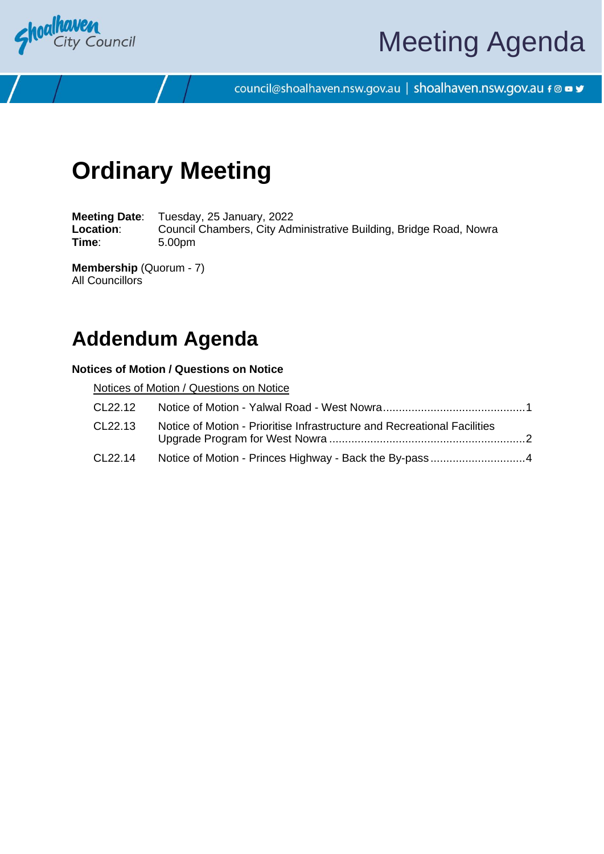

# Meeting Agenda

council@shoalhaven.nsw.gov.au | shoalhaven.nsw.gov.au f @ ■ y

# **Ordinary Meeting**

**Meeting Date**: Tuesday, 25 January, 2022 Location: Council Chambers, City Administrative Building, Bridge Road, Nowra **Time**: 5.00pm

**Membership** (Quorum - 7) All Councillors

## **Addendum Agenda**

### **Notices of Motion / Questions on Notice**

Notices of Motion / Questions on Notice

| CL22.12 |                                                                          |  |
|---------|--------------------------------------------------------------------------|--|
| CL22.13 | Notice of Motion - Prioritise Infrastructure and Recreational Facilities |  |
| CL22.14 |                                                                          |  |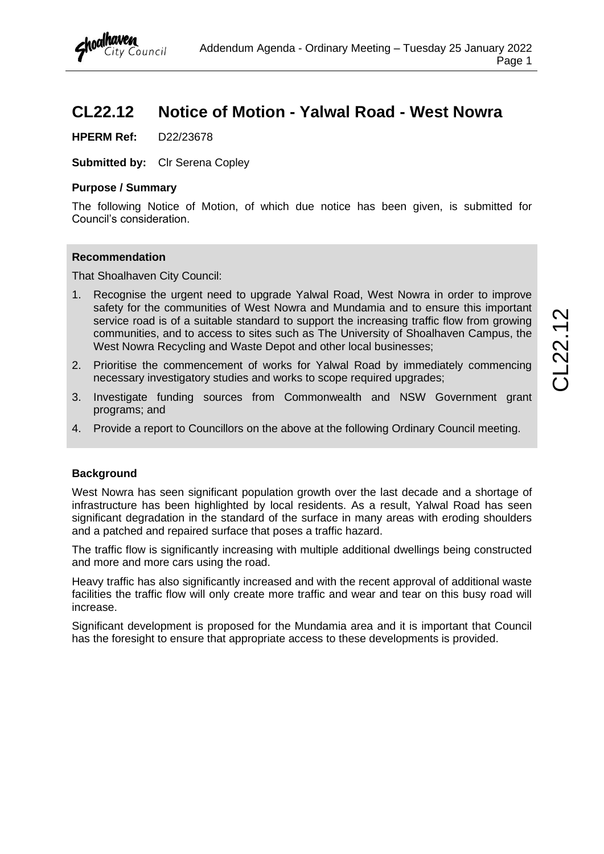### <span id="page-1-0"></span>**CL22.12 Notice of Motion - Yalwal Road - West Nowra**

**HPERM Ref:** D22/23678

**Submitted by:** Clr Serena Copley

#### **Purpose / Summary**

The following Notice of Motion, of which due notice has been given, is submitted for Council's consideration.

### **Recommendation**

That Shoalhaven City Council:

- 1. Recognise the urgent need to upgrade Yalwal Road, West Nowra in order to improve safety for the communities of West Nowra and Mundamia and to ensure this important service road is of a suitable standard to support the increasing traffic flow from growing communities, and to access to sites such as The University of Shoalhaven Campus, the West Nowra Recycling and Waste Depot and other local businesses;
- 2. Prioritise the commencement of works for Yalwal Road by immediately commencing necessary investigatory studies and works to scope required upgrades;
- 3. Investigate funding sources from Commonwealth and NSW Government grant programs; and
- 4. Provide a report to Councillors on the above at the following Ordinary Council meeting.

### **Background**

West Nowra has seen significant population growth over the last decade and a shortage of infrastructure has been highlighted by local residents. As a result, Yalwal Road has seen significant degradation in the standard of the surface in many areas with eroding shoulders and a patched and repaired surface that poses a traffic hazard.

The traffic flow is significantly increasing with multiple additional dwellings being constructed and more and more cars using the road.

Heavy traffic has also significantly increased and with the recent approval of additional waste facilities the traffic flow will only create more traffic and wear and tear on this busy road will increase.

Significant development is proposed for the Mundamia area and it is important that Council has the foresight to ensure that appropriate access to these developments is provided.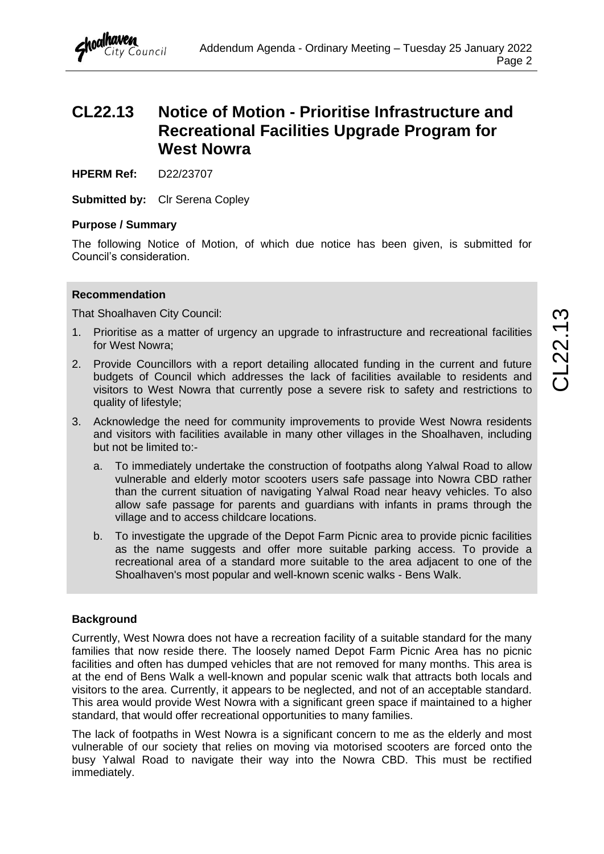### <span id="page-2-0"></span>**CL22.13 Notice of Motion - Prioritise Infrastructure and Recreational Facilities Upgrade Program for West Nowra**

**HPERM Ref:** D22/23707

**Submitted by:** Clr Serena Copley

### **Purpose / Summary**

The following Notice of Motion, of which due notice has been given, is submitted for Council's consideration.

#### **Recommendation**

That Shoalhaven City Council:

- 1. Prioritise as a matter of urgency an upgrade to infrastructure and recreational facilities for West Nowra;
- 2. Provide Councillors with a report detailing allocated funding in the current and future budgets of Council which addresses the lack of facilities available to residents and visitors to West Nowra that currently pose a severe risk to safety and restrictions to quality of lifestyle;
- 3. Acknowledge the need for community improvements to provide West Nowra residents and visitors with facilities available in many other villages in the Shoalhaven, including but not be limited to:
	- a. To immediately undertake the construction of footpaths along Yalwal Road to allow vulnerable and elderly motor scooters users safe passage into Nowra CBD rather than the current situation of navigating Yalwal Road near heavy vehicles. To also allow safe passage for parents and guardians with infants in prams through the village and to access childcare locations.
	- b. To investigate the upgrade of the Depot Farm Picnic area to provide picnic facilities as the name suggests and offer more suitable parking access. To provide a recreational area of a standard more suitable to the area adjacent to one of the Shoalhaven's most popular and well-known scenic walks - Bens Walk.

### **Background**

Currently, West Nowra does not have a recreation facility of a suitable standard for the many families that now reside there. The loosely named Depot Farm Picnic Area has no picnic facilities and often has dumped vehicles that are not removed for many months. This area is at the end of Bens Walk a well-known and popular scenic walk that attracts both locals and visitors to the area. Currently, it appears to be neglected, and not of an acceptable standard. This area would provide West Nowra with a significant green space if maintained to a higher standard, that would offer recreational opportunities to many families.

The lack of footpaths in West Nowra is a significant concern to me as the elderly and most vulnerable of our society that relies on moving via motorised scooters are forced onto the busy Yalwal Road to navigate their way into the Nowra CBD. This must be rectified immediately.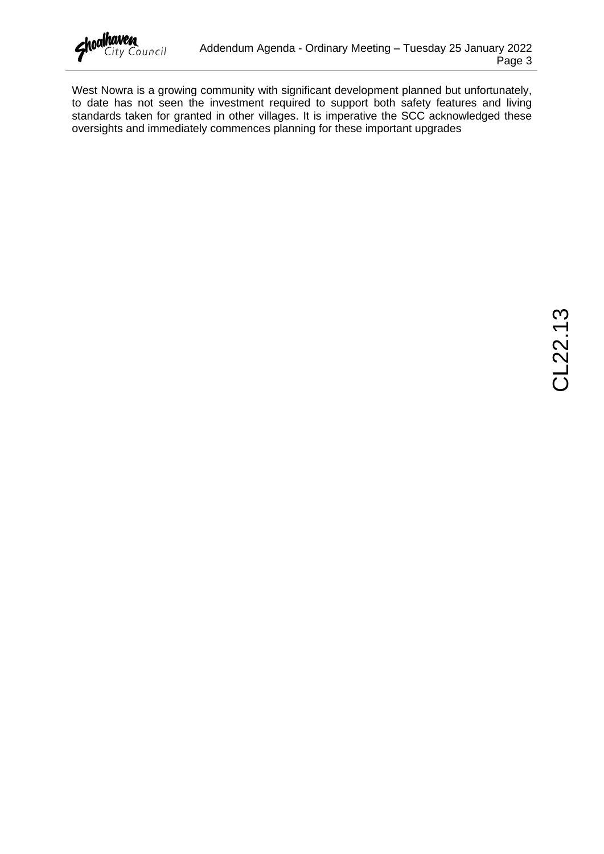

West Nowra is a growing community with significant development planned but unfortunately, to date has not seen the investment required to support both safety features and living standards taken for granted in other villages. It is imperative the SCC acknowledged these oversights and immediately commences planning for these important upgrades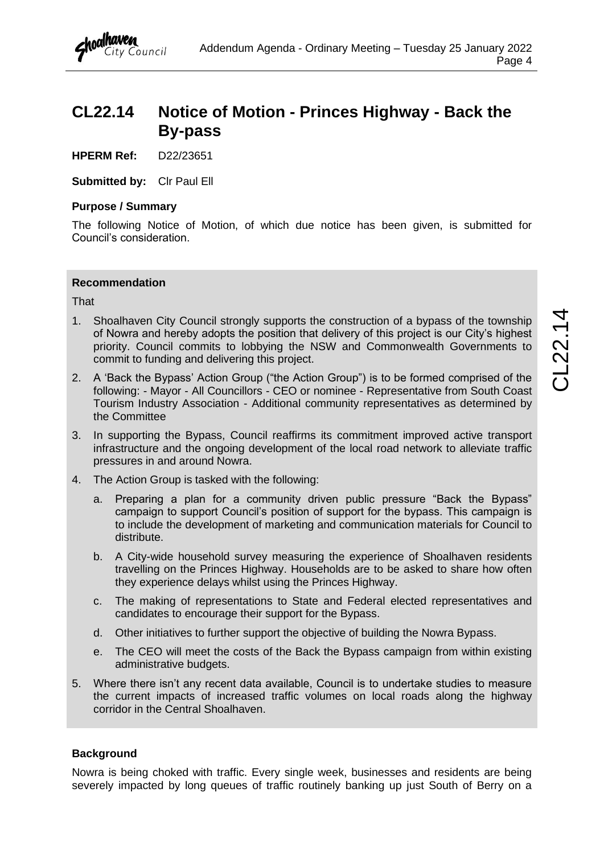### <span id="page-4-0"></span>**CL22.14 Notice of Motion - Princes Highway - Back the By-pass**

**HPERM Ref:** D22/23651

**Submitted by:** Clr Paul Ell

### **Purpose / Summary**

The following Notice of Motion, of which due notice has been given, is submitted for Council's consideration.

### **Recommendation**

That

- 1. Shoalhaven City Council strongly supports the construction of a bypass of the township of Nowra and hereby adopts the position that delivery of this project is our City's highest priority. Council commits to lobbying the NSW and Commonwealth Governments to commit to funding and delivering this project.
- 2. A 'Back the Bypass' Action Group ("the Action Group") is to be formed comprised of the following: - Mayor - All Councillors - CEO or nominee - Representative from South Coast Tourism Industry Association - Additional community representatives as determined by the Committee
- 3. In supporting the Bypass, Council reaffirms its commitment improved active transport infrastructure and the ongoing development of the local road network to alleviate traffic pressures in and around Nowra.
- 4. The Action Group is tasked with the following:
	- a. Preparing a plan for a community driven public pressure "Back the Bypass" campaign to support Council's position of support for the bypass. This campaign is to include the development of marketing and communication materials for Council to distribute.
	- b. A City-wide household survey measuring the experience of Shoalhaven residents travelling on the Princes Highway. Households are to be asked to share how often they experience delays whilst using the Princes Highway.
	- c. The making of representations to State and Federal elected representatives and candidates to encourage their support for the Bypass.
	- d. Other initiatives to further support the objective of building the Nowra Bypass.
	- e. The CEO will meet the costs of the Back the Bypass campaign from within existing administrative budgets.
- 5. Where there isn't any recent data available, Council is to undertake studies to measure the current impacts of increased traffic volumes on local roads along the highway corridor in the Central Shoalhaven.

### **Background**

Nowra is being choked with traffic. Every single week, businesses and residents are being severely impacted by long queues of traffic routinely banking up just South of Berry on a